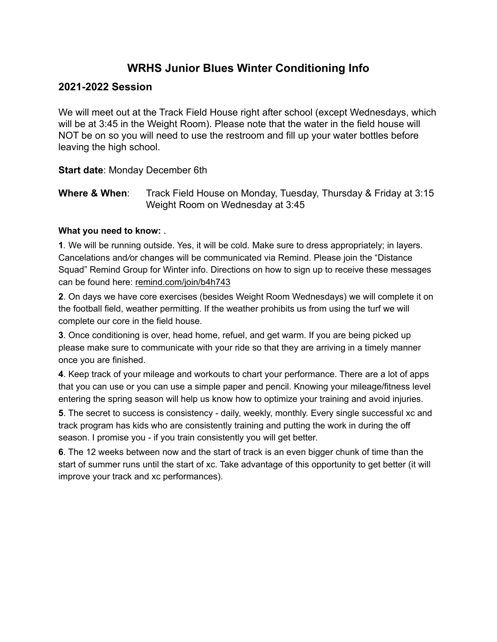## **WRHS Junior Blues Winter Conditioning Info**

### **2021-2022 Session**

We will meet out at the Track Field House right after school (except Wednesdays, which will be at 3:45 in the Weight Room). Please note that the water in the field house will NOT be on so you will need to use the restroom and fill up your water bottles before leaving the high school.

**Start date**: Monday December 6th

**Where & When:** Track Field House on Monday, Tuesday, Thursday & Friday at 3:15 Weight Room on Wednesday at 3:45

#### **What you need to know:** .

**1***.* We will be running outside. Yes, it will be cold. Make sure to dress appropriately; in layers. Cancelations and*/*or changes will be communicated via Remind. Please join the "Distance Squad" Remind Group for Winter info. Directions on how to sign up to receive these messages can be found here: remind.com/join/b4h743

**2**. On days we have core exercises (besides Weight Room Wednesdays) we will complete it on the football field, weather permitting. If the weather prohibits us from using the turf we will complete our core in the field house.

**3**. Once conditioning is over, head home, refuel, and get warm. If you are being picked up please make sure to communicate with your ride so that they are arriving in a timely manner once you are finished.

**4**. Keep track of your mileage and workouts to chart your performance. There are a lot of apps that you can use or you can use a simple paper and pencil. Knowing your mileage/fitness level entering the spring season will help us know how to optimize your training and avoid injuries.

**5**. The secret to success is consistency - daily, weekly, monthly. Every single successful xc and track program has kids who are consistently training and putting the work in during the off season. I promise you - if you train consistently you will get better.

**6**. The 12 weeks between now and the start of track is an even bigger chunk of time than the start of summer runs until the start of xc. Take advantage of this opportunity to get better (it will improve your track and xc performances).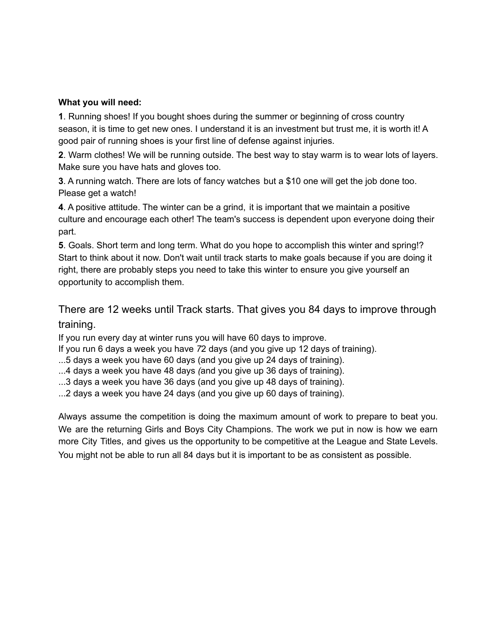#### **What you will need:**

**1**. Running shoes! If you bought shoes during the summer or beginning of cross country season, it is time to get new ones. I understand it is an investment but trust me, it is worth it! A good pair of running shoes is your first line of defense against injuries.

**2**. Warm clothes! We will be running outside. The best way to stay warm is to wear lots of layers. Make sure you have hats and gloves too.

**3**. A running watch. There are lots of fancy watches but a \$10 one will get the job done too. Please get a watch!

**4**. A positive attitude. The winter can be a grind, it is important that we maintain a positive culture and encourage each other! The team's success is dependent upon everyone doing their part.

**5**. Goals. Short term and long term. What do you hope to accomplish this winter and spring!? Start to think about it now. Don't wait until track starts to make goals because if you are doing it right, there are probably steps you need to take this winter to ensure you give yourself an opportunity to accomplish them.

## There are 12 weeks until Track starts. That gives you 84 days to improve through training.

If you run every day at winter runs you will have 60 days to improve.

If you run 6 days a week you have *7*2 days (and you give up 12 days of training).

- ...5 days a week you have 60 days (and you give up 24 days of training).
- ...4 days a week you have 48 days *(*and you give up 36 days of training).
- ...3 days a week you have 36 days (and you give up 48 days of training).

...2 days a week you have 24 days (and you give up 60 days of training).

Always assume the competition is doing the maximum amount of work to prepare to beat you*.* We are the returning Girls and Boys City Champions. The work we put in now is how we earn more City Titles, and gives us the opportunity to be competitive at the League and State Levels. You might not be able to run all 84 days but it is important to be as consistent as possible.